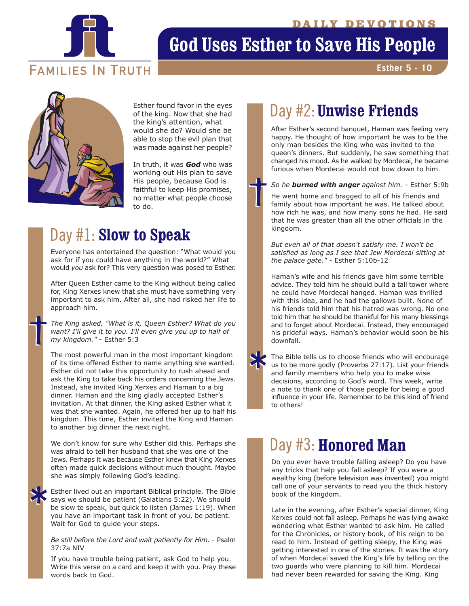

# **God Uses Esther to Save His People**

**FAMILIES IN TRUTH** 

**Esther 5 - 10**



of the king. Now that she had the king's attention, what would she do? Would she be able to stop the evil plan that was made against her people?

In truth, it was *God* who was working out His plan to save His people, because God is faithful to keep His promises, no matter what people choose to do.

# Day #1: **Slow to Speak**

Everyone has entertained the question: "What would you ask for if you could have anything in the world?" What would *you* ask for? This very question was posed to Esther.

After Queen Esther came to the King without being called for, King Xerxes knew that she must have something very important to ask him. After all, she had risked her life to approach him.

*The King asked, "What is it, Queen Esther? What do you want? I'll give it to you. I'll even give you up to half of my kingdom."* - Esther 5:3

The most powerful man in the most important kingdom of its time offered Esther to name anything she wanted. Esther did not take this opportunity to rush ahead and ask the King to take back his orders concerning the Jews. Instead, she invited King Xerxes and Haman to a big dinner. Haman and the king gladly accepted Esther's invitation. At that dinner, the King asked Esther what it was that she wanted. Again, he offered her up to half his kingdom. This time, Esther invited the King and Haman to another big dinner the next night.

We don't know for sure why Esther did this. Perhaps she was afraid to tell her husband that she was one of the Jews. Perhaps it was because Esther knew that King Xerxes often made quick decisions without much thought. Maybe she was simply following God's leading.

Esther lived out an important Biblical principle. The Bible says we should be patient (Galatians 5:22). We should be slow to speak, but quick to listen (James 1:19). When you have an important task in front of you, be patient. Wait for God to guide your steps.

#### *Be still before the Lord and wait patiently for Him.* - Psalm 37:7a NIV

If you have trouble being patient, ask God to help you. Write this verse on a card and keep it with you. Pray these words back to God.

# Esther found favor in the eyes **Day #2: Unwise Friends**

After Esther's second banquet, Haman was feeling very happy. He thought of how important he was to be the only man besides the King who was invited to the queen's dinners. But suddenly, he saw something that changed his mood. As he walked by Mordecai, he became furious when Mordecai would not bow down to him.

### *So he burned with anger against him.* - Esther 5:9b

He went home and bragged to all of his friends and family about how important he was. He talked about how rich he was, and how many sons he had. He said that he was greater than all the other officials in the kingdom.

*But even all of that doesn't satisfy me. I won't be satisfied as long as I see that Jew Mordecai sitting at the palace gate."* - Esther 5:10b-12

Haman's wife and his friends gave him some terrible advice. They told him he should build a tall tower where he could have Mordecai hanged. Haman was thrilled with this idea, and he had the gallows built. None of his friends told him that his hatred was wrong. No one told him that he should be thankful for his many blessings and to forget about Mordecai. Instead, they encouraged his prideful ways. Haman's behavior would soon be his downfall.

The Bible tells us to choose friends who will encourage us to be more godly (Proverbs 27:17). List your friends and family members who help you to make wise decisions, according to God's word. This week, write a note to thank one of those people for being a good influence in your life. Remember to be this kind of friend to others!

# Day #3: Honored Man

Do you ever have trouble falling asleep? Do you have any tricks that help you fall asleep? If you were a wealthy king (before television was invented) you might call one of your servants to read you the thick history book of the kingdom.

Late in the evening, after Esther's special dinner, King Xerxes could not fall asleep. Perhaps he was lying awake wondering what Esther wanted to ask him. He called for the Chronicles, or history book, of his reign to be read to him. Instead of getting sleepy, the King was getting interested in one of the stories. It was the story of when Mordecai saved the King's life by telling on the two guards who were planning to kill him. Mordecai had never been rewarded for saving the King. King